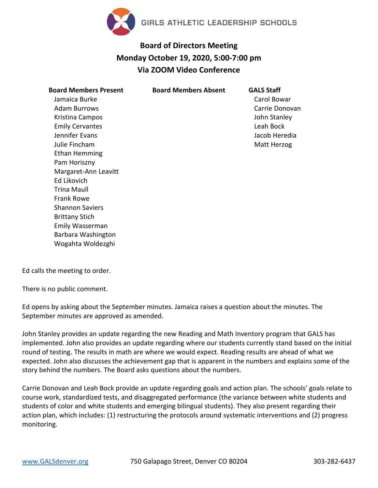

## **Board of Directors Meeting Monday October 19, 2020, 5:00-7:00 pm Via ZOOM Video Conference**

| <b>Board Members Present</b> | Board |
|------------------------------|-------|
| Jamaica Burke                |       |
| Adam Burrows                 |       |
| Kristina Campos              |       |
| <b>Emily Cervantes</b>       |       |
| Jennifer Evans               |       |
| Julie Fincham                |       |
| Ethan Hemming                |       |
| Pam Horiszny                 |       |
| Margaret-Ann Leavitt         |       |
| <b>Ed Likovich</b>           |       |
| Trina Maull                  |       |
| Frank Rowe                   |       |
| <b>Shannon Saviers</b>       |       |
| <b>Brittany Stich</b>        |       |
| Emily Wasserman              |       |
| Barbara Washington           |       |
| Wogahta Woldezghi            |       |

**Board Members Absent GALS Staff** Carol Bowar Carrie Donovan John Stanley Leah Bock Jacob Heredia Matt Herzog

Ed calls the meeting to order.

There is no public comment.

Ed opens by asking about the September minutes. Jamaica raises a question about the minutes. The September minutes are approved as amended.

John Stanley provides an update regarding the new Reading and Math Inventory program that GALS has implemented. John also provides an update regarding where our students currently stand based on the initial round of testing. The results in math are where we would expect. Reading results are ahead of what we expected. John also discusses the achievement gap that is apparent in the numbers and explains some of the story behind the numbers. The Board asks questions about the numbers.

Carrie Donovan and Leah Bock provide an update regarding goals and action plan. The schools' goals relate to course work, standardized tests, and disaggregated performance (the variance between white students and students of color and white students and emerging bilingual students). They also present regarding their action plan, which includes: (1) restructuring the protocols around systematic interventions and (2) progress monitoring.